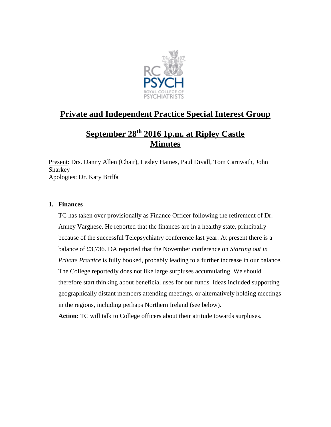

# **Private and Independent Practice Special Interest Group**

# **September 28th 2016 1p.m. at Ripley Castle Minutes**

Present: Drs. Danny Allen (Chair), Lesley Haines, Paul Divall, Tom Carnwath, John **Sharkey** Apologies: Dr. Katy Briffa

# **1. Finances**

TC has taken over provisionally as Finance Officer following the retirement of Dr. Anney Varghese. He reported that the finances are in a healthy state, principally because of the successful Telepsychiatry conference last year. At present there is a balance of £3,736. DA reported that the November conference on *Starting out in Private Practice* is fully booked, probably leading to a further increase in our balance. The College reportedly does not like large surpluses accumulating. We should therefore start thinking about beneficial uses for our funds. Ideas included supporting geographically distant members attending meetings, or alternatively holding meetings in the regions, including perhaps Northern Ireland (see below).

**Action**: TC will talk to College officers about their attitude towards surpluses.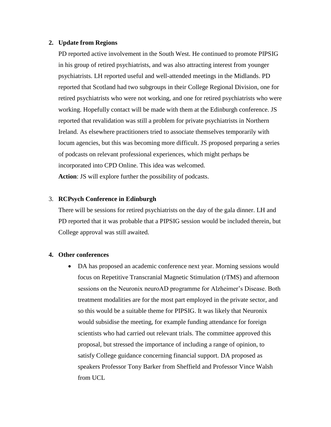#### **2. Update from Regions**

PD reported active involvement in the South West. He continued to promote PIPSIG in his group of retired psychiatrists, and was also attracting interest from younger psychiatrists. LH reported useful and well-attended meetings in the Midlands. PD reported that Scotland had two subgroups in their College Regional Division, one for retired psychiatrists who were not working, and one for retired psychiatrists who were working. Hopefully contact will be made with them at the Edinburgh conference. JS reported that revalidation was still a problem for private psychiatrists in Northern Ireland. As elsewhere practitioners tried to associate themselves temporarily with locum agencies, but this was becoming more difficult. JS proposed preparing a series of podcasts on relevant professional experiences, which might perhaps be incorporated into CPD Online. This idea was welcomed. **Action**: JS will explore further the possibility of podcasts.

### 3. **RCPsych Conference in Edinburgh**

There will be sessions for retired psychiatrists on the day of the gala dinner. LH and PD reported that it was probable that a PIPSIG session would be included therein, but College approval was still awaited.

#### **4. Other conferences**

 DA has proposed an academic conference next year. Morning sessions would focus on Repetitive Transcranial Magnetic Stimulation (rTMS) and afternoon sessions on the Neuronix neuroAD programme for Alzheimer's Disease. Both treatment modalities are for the most part employed in the private sector, and so this would be a suitable theme for PIPSIG. It was likely that Neuronix would subsidise the meeting, for example funding attendance for foreign scientists who had carried out relevant trials. The committee approved this proposal, but stressed the importance of including a range of opinion, to satisfy College guidance concerning financial support. DA proposed as speakers Professor Tony Barker from Sheffield and Professor Vince Walsh from UCL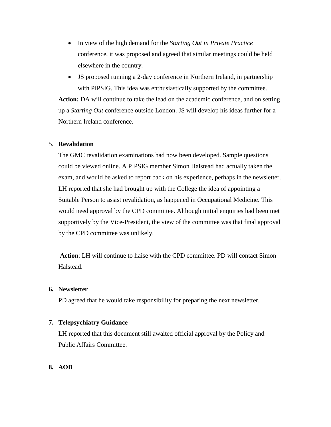- In view of the high demand for the *Starting Out in Private Practice* conference, it was proposed and agreed that similar meetings could be held elsewhere in the country.
- JS proposed running a 2-day conference in Northern Ireland, in partnership with PIPSIG. This idea was enthusiastically supported by the committee.

**Action:** DA will continue to take the lead on the academic conference, and on setting up a *Starting Out* conference outside London. JS will develop his ideas further for a Northern Ireland conference.

### 5. **Revalidation**

The GMC revalidation examinations had now been developed. Sample questions could be viewed online. A PIPSIG member Simon Halstead had actually taken the exam, and would be asked to report back on his experience, perhaps in the newsletter. LH reported that she had brought up with the College the idea of appointing a Suitable Person to assist revalidation, as happened in Occupational Medicine. This would need approval by the CPD committee. Although initial enquiries had been met supportively by the Vice-President, the view of the committee was that final approval by the CPD committee was unlikely.

**Action**: LH will continue to liaise with the CPD committee. PD will contact Simon Halstead.

# **6. Newsletter**

PD agreed that he would take responsibility for preparing the next newsletter.

#### **7. Telepsychiatry Guidance**

LH reported that this document still awaited official approval by the Policy and Public Affairs Committee.

#### **8. AOB**